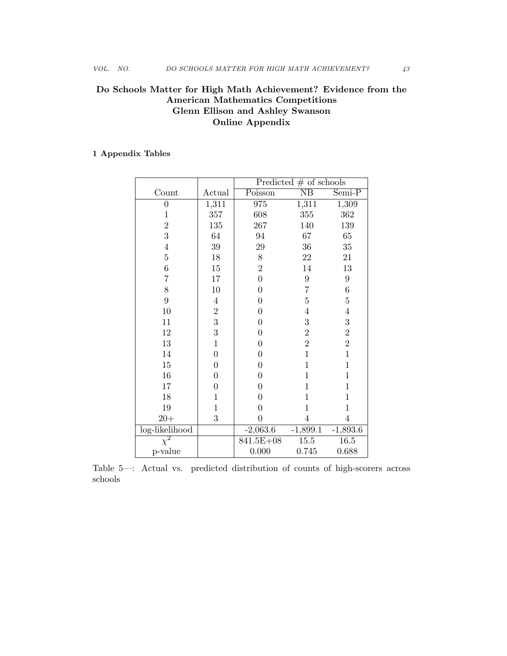# Do Schools Matter for High Math Achievement? Evidence from the American Mathematics Competitions Glenn Ellison and Ashley Swanson Online Appendix

## 1 Appendix Tables

|                |                  | Predicted $#$ of schools |                        |                  |  |
|----------------|------------------|--------------------------|------------------------|------------------|--|
| Count          | Actual           | Poisson                  | $\overline{\text{NB}}$ | $Semi-P$         |  |
| $\overline{0}$ | 1,311            | 975                      | 1,311                  | 1,309            |  |
| $\mathbf{1}$   | 357              | 608                      | $355\,$                | 362              |  |
| $\overline{2}$ | 135              | 267                      | 140                    | 139              |  |
| 3              | 64               | 94                       | 67                     | 65               |  |
| $\overline{4}$ | $39\,$           | 29                       | 36                     | $35\,$           |  |
| $\overline{5}$ | $18\,$           | $8\,$                    | 22                     | 21               |  |
| $\sqrt{6}$     | $15\,$           | $\overline{2}$           | 14                     | $13\,$           |  |
| $\overline{7}$ | 17               | $\overline{0}$           | $\boldsymbol{9}$       | $\boldsymbol{9}$ |  |
| 8              | 10               | $\boldsymbol{0}$         | 7                      | $\,6$            |  |
| $\overline{9}$ | $\,4\,$          | $\boldsymbol{0}$         | 5                      | $\overline{5}$   |  |
| $10\,$         | $\boldsymbol{2}$ | $\overline{0}$           | $\overline{4}$         | $\overline{4}$   |  |
| 11             | 3                | $\boldsymbol{0}$         | 3                      | $\overline{3}$   |  |
| $12\,$         | 3                | $\boldsymbol{0}$         | $\overline{2}$         | $\frac{2}{2}$    |  |
| $13\,$         | $\mathbf{1}$     | $\overline{0}$           | $\overline{2}$         |                  |  |
| 14             | $\boldsymbol{0}$ | $\overline{0}$           | $\mathbf{1}$           | $\mathbf{1}$     |  |
| $15\,$         | $\boldsymbol{0}$ | $\boldsymbol{0}$         | $\mathbf{1}$           | $\mathbf{1}$     |  |
| 16             | $\boldsymbol{0}$ | $\boldsymbol{0}$         | 1                      | $\mathbf{1}$     |  |
| 17             | $\overline{0}$   | $\overline{0}$           | $\mathbf{1}$           | $\mathbf{1}$     |  |
| 18             | $\mathbf{1}$     | $\boldsymbol{0}$         | $\mathbf 1$            | $\mathbf{1}$     |  |
| 19             | $\overline{1}$   | $\overline{0}$           | $\mathbf{1}$           | $\mathbf{1}$     |  |
| $20 +$         | 3                | $\boldsymbol{0}$         | $\overline{4}$         | $\overline{4}$   |  |
| log-likelihood |                  | $-2,063.6$               | $-1,899.1$             | $-1,893.6$       |  |
| $\chi^2$       |                  | 841.5E+08                | 15.5                   | 16.5             |  |
| p-value        |                  | 0.000                    | 0.745                  | 0.688            |  |

Table 5—: Actual vs. predicted distribution of counts of high-scorers across schools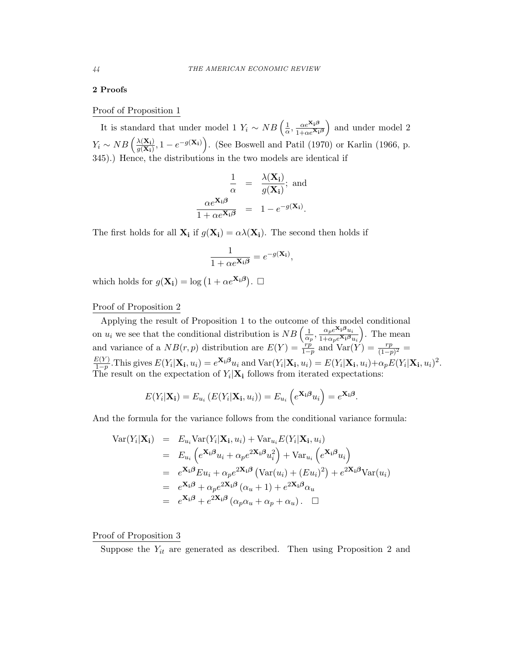### 2 Proofs

## Proof of Proposition 1

It is standard that under model 1  $Y_i \sim NB\left(\frac{1}{\alpha}, \frac{\alpha e^{\mathbf{X_i}\beta}}{1+\alpha e^{\mathbf{X_i}\beta}}\right)$ ) and under model 2  $Y_i \sim NB\left(\frac{\lambda(X_i)}{g(X_i)}, 1 - e^{-g(X_i)}\right)$ . (See Boswell and Patil (1970) or Karlin (1966, p. 345).) Hence, the distributions in the two models are identical if

$$
\frac{1}{\alpha} = \frac{\lambda(\mathbf{X_i})}{g(\mathbf{X_i})}; \text{ and}
$$

$$
\frac{\alpha e^{\mathbf{X_i}\beta}}{1 + \alpha e^{\mathbf{X_i}\beta}} = 1 - e^{-g(\mathbf{X_i})}.
$$

The first holds for all  $\mathbf{X}_i$  if  $g(\mathbf{X}_i) = \alpha \lambda(\mathbf{X}_i)$ . The second then holds if

$$
\frac{1}{1 + \alpha e^{\mathbf{X_i}\beta}} = e^{-g(\mathbf{X_i})},
$$

which holds for  $g(\mathbf{X_i}) = \log (1 + \alpha e^{\mathbf{X_i}\boldsymbol{\beta}})$ .  $\Box$ 

## Proof of Proposition 2

Applying the result of Proposition 1 to the outcome of this model conditional on  $u_i$  we see that the conditional distribution is  $NB\left(\frac{1}{\alpha_p}, \frac{\alpha_p e^{\mathbf{X_i}\beta}u_i}{1+\alpha_p e^{\mathbf{X_i}\beta}u_i}\right)$ ⌘ . The mean and variance of a  $NB(r, p)$  distribution are  $E(Y) = \frac{rp}{1-p}$  and  $Var(Y) = \frac{rp}{(1-p)^2} =$  $\frac{E(Y)}{1-p}$ . This gives  $E(Y_i|\mathbf{X_i}, u_i) = e^{\mathbf{X_i}\beta}u_i$  and  $\text{Var}(Y_i|\mathbf{X_i}, u_i) = E(Y_i|\mathbf{X_i}, u_i) + \alpha_p E(Y_i|\mathbf{X_i}, u_i)^2$ . The result on the expectation of  $Y_i|\mathbf{X_i}$  follows from iterated expectations:

$$
E(Y_i|\mathbf{X_i}) = E_{u_i}(E(Y_i|\mathbf{X_i}, u_i)) = E_{u_i}\left(e^{\mathbf{X_i}\boldsymbol{\beta}}u_i\right) = e^{\mathbf{X_i}\boldsymbol{\beta}}.
$$

And the formula for the variance follows from the conditional variance formula:

$$
\begin{split}\n\text{Var}(Y_i|\mathbf{X_i}) &= E_{u_i} \text{Var}(Y_i|\mathbf{X_i}, u_i) + \text{Var}_{u_i} E(Y_i|\mathbf{X_i}, u_i) \\
&= E_{u_i} \left( e^{\mathbf{X_i} \boldsymbol{\beta}} u_i + \alpha_p e^{2\mathbf{X_i} \boldsymbol{\beta}} u_i^2 \right) + \text{Var}_{u_i} \left( e^{\mathbf{X_i} \boldsymbol{\beta}} u_i \right) \\
&= e^{\mathbf{X_i} \boldsymbol{\beta}} E u_i + \alpha_p e^{2\mathbf{X_i} \boldsymbol{\beta}} \left( \text{Var}(u_i) + (E u_i)^2 \right) + e^{2\mathbf{X_i} \boldsymbol{\beta}} \text{Var}(u_i) \\
&= e^{\mathbf{X_i} \boldsymbol{\beta}} + \alpha_p e^{2\mathbf{X_i} \boldsymbol{\beta}} \left( \alpha_u + 1 \right) + e^{2\mathbf{X_i} \boldsymbol{\beta}} \alpha_u \\
&= e^{\mathbf{X_i} \boldsymbol{\beta}} + e^{2\mathbf{X_i} \boldsymbol{\beta}} \left( \alpha_p \alpha_u + \alpha_p + \alpha_u \right). \quad \Box\n\end{split}
$$

### Proof of Proposition 3

Suppose the  $Y_{it}$  are generated as described. Then using Proposition 2 and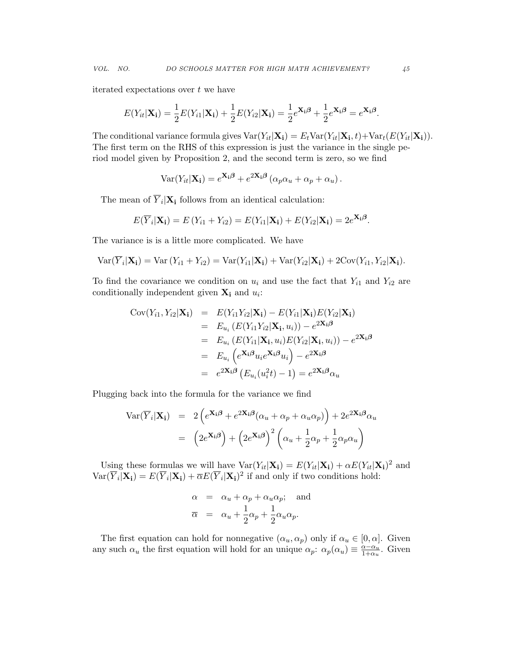*VOL. NO. DO SCHOOLS MATTER FOR HIGH MATH ACHIEVEMENT? 45*

iterated expectations over *t* we have

$$
E(Y_{it}|\mathbf{X_i}) = \frac{1}{2}E(Y_{i1}|\mathbf{X_i}) + \frac{1}{2}E(Y_{i2}|\mathbf{X_i}) = \frac{1}{2}e^{\mathbf{X_i}\beta} + \frac{1}{2}e^{\mathbf{X_i}\beta} = e^{\mathbf{X_i}\beta}.
$$

The conditional variance formula gives  $\text{Var}(Y_{it}|\mathbf{X_i}) = E_t \text{Var}(Y_{it}|\mathbf{X_i}, t) + \text{Var}_t(E(Y_{it}|\mathbf{X_i})).$ The first term on the RHS of this expression is just the variance in the single period model given by Proposition 2, and the second term is zero, so we find

$$
Var(Y_{it}|\mathbf{X_i}) = e^{\mathbf{X_i}\boldsymbol{\beta}} + e^{2\mathbf{X_i}\boldsymbol{\beta}} \left( \alpha_p \alpha_u + \alpha_p + \alpha_u \right).
$$

The mean of  $\overline{Y}_i|\mathbf{X}_i$  follows from an identical calculation:

$$
E(\overline{Y}_i|\mathbf{X_i}) = E(Y_{i1} + Y_{i2}) = E(Y_{i1}|\mathbf{X_i}) + E(Y_{i2}|\mathbf{X_i}) = 2e^{\mathbf{X_i}\beta}.
$$

The variance is is a little more complicated. We have

$$
\text{Var}(\overline{Y}_i|\mathbf{X_i}) = \text{Var}(Y_{i1} + Y_{i2}) = \text{Var}(Y_{i1}|\mathbf{X_i}) + \text{Var}(Y_{i2}|\mathbf{X_i}) + 2\text{Cov}(Y_{i1}, Y_{i2}|\mathbf{X_i}).
$$

To find the covariance we condition on  $u_i$  and use the fact that  $Y_{i1}$  and  $Y_{i2}$  are conditionally independent given  $\mathbf{X}_i$  and  $u_i$ :

$$
Cov(Y_{i1}, Y_{i2}|\mathbf{X_i}) = E(Y_{i1}Y_{i2}|\mathbf{X_i}) - E(Y_{i1}|\mathbf{X_i})E(Y_{i2}|\mathbf{X_i})
$$
  
\n
$$
= E_{u_i}(E(Y_{i1}Y_{i2}|\mathbf{X_i}, u_i)) - e^{2\mathbf{X_i}\beta}
$$
  
\n
$$
= E_{u_i}(E(Y_{i1}|\mathbf{X_i}, u_i)E(Y_{i2}|\mathbf{X_i}, u_i)) - e^{2\mathbf{X_i}\beta}
$$
  
\n
$$
= E_{u_i}(e^{\mathbf{X_i}\beta}u_i e^{\mathbf{X_i}\beta}u_i) - e^{2\mathbf{X_i}\beta}
$$
  
\n
$$
= e^{2\mathbf{X_i}\beta}(E_{u_i}(u_i^2t) - 1) = e^{2\mathbf{X_i}\beta}\alpha_u
$$

Plugging back into the formula for the variance we find

$$
Var(\overline{Y}_i|\mathbf{X}_i) = 2(e^{\mathbf{X}_i\boldsymbol{\beta}} + e^{2\mathbf{X}_i\boldsymbol{\beta}}(\alpha_u + \alpha_p + \alpha_u\alpha_p)) + 2e^{2\mathbf{X}_i\boldsymbol{\beta}}\alpha_u
$$

$$
= (2e^{\mathbf{X}_i\boldsymbol{\beta}}) + (2e^{\mathbf{X}_i\boldsymbol{\beta}})^2 (\alpha_u + \frac{1}{2}\alpha_p + \frac{1}{2}\alpha_p\alpha_u)
$$

Using these formulas we will have  $Var(Y_{it}|\mathbf{X_i}) = E(Y_{it}|\mathbf{X_i}) + \alpha E(Y_{it}|\mathbf{X_i})^2$  and  $Var(\overline{Y}_i|\mathbf{X_i}) = E(\overline{Y}_i|\mathbf{X_i}) + \overline{\alpha}E(\overline{Y}_i|\mathbf{X_i})^2$  if and only if two conditions hold:

$$
\alpha = \alpha_u + \alpha_p + \alpha_u \alpha_p; \text{ and}
$$
  

$$
\overline{\alpha} = \alpha_u + \frac{1}{2}\alpha_p + \frac{1}{2}\alpha_u \alpha_p.
$$

The first equation can hold for nonnegative  $(\alpha_u, \alpha_p)$  only if  $\alpha_u \in [0, \alpha]$ . Given any such  $\alpha_u$  the first equation will hold for an unique  $\alpha_p$ :  $\alpha_p(\alpha_u) \equiv \frac{\alpha - \alpha_u}{1 + \alpha_u}$ . Given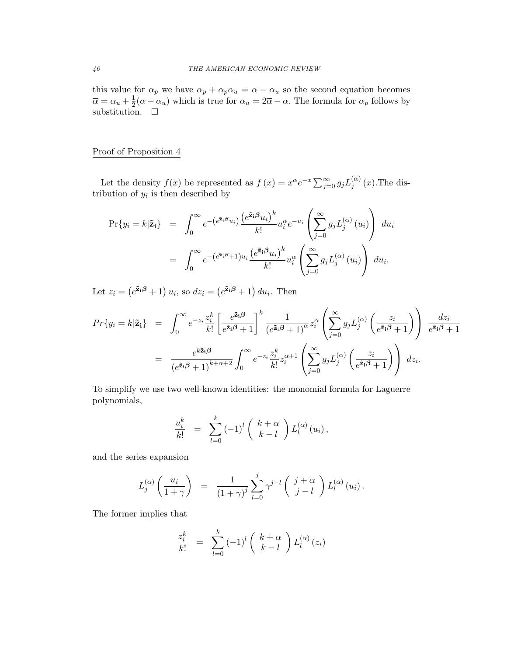this value for  $\alpha_p$  we have  $\alpha_p + \alpha_p \alpha_u = \alpha - \alpha_u$  so the second equation becomes  $\overline{\alpha} = \alpha_u + \frac{1}{2}(\alpha - \alpha_u)$  which is true for  $\alpha_u = 2\overline{\alpha} - \alpha$ . The formula for  $\alpha_p$  follows by substitution.  $\Box$ 

## Proof of Proposition 4

Let the density  $f(x)$  be represented as  $f(x) = x^{\alpha}e^{-x} \sum_{j=0}^{\infty} g_j L_j^{(\alpha)}(x)$ . The distribution of  $y_i$  is then described by

$$
\Pr\{y_i = k|\tilde{\mathbf{z}}_i\} = \int_0^\infty e^{-\left(e^{\tilde{\mathbf{z}}_i\boldsymbol{\beta}}u_i\right)} \frac{\left(e^{\tilde{\mathbf{z}}_i\boldsymbol{\beta}}u_i\right)^k}{k!} u_i^\alpha e^{-u_i} \left(\sum_{j=0}^\infty g_j L_j^{(\alpha)}(u_i)\right) du_i
$$

$$
= \int_0^\infty e^{-\left(e^{\tilde{\mathbf{z}}_i\boldsymbol{\beta}}+1\right)u_i} \frac{\left(e^{\tilde{\mathbf{z}}_i\boldsymbol{\beta}}u_i\right)^k}{k!} u_i^\alpha \left(\sum_{j=0}^\infty g_j L_j^{(\alpha)}(u_i)\right) du_i.
$$

Let  $z_i = (e^{\tilde{\mathbf{z}}_i \boldsymbol{\beta}} + 1) u_i$ , so  $dz_i = (e^{\tilde{\mathbf{z}}_i \boldsymbol{\beta}} + 1) du_i$ . Then

$$
Pr\{y_i = k|\tilde{\mathbf{z}}_i\} = \int_0^\infty e^{-z_i} \frac{z_i^k}{k!} \left[ \frac{e^{\tilde{\mathbf{z}}_i \boldsymbol{\beta}}}{e^{\tilde{\mathbf{z}}_i \boldsymbol{\beta}} + 1} \right]^k \frac{1}{(e^{\tilde{\mathbf{z}}_i \boldsymbol{\beta}} + 1)^{\alpha}} z_i^{\alpha} \left( \sum_{j=0}^\infty g_j L_j^{(\alpha)} \left( \frac{z_i}{e^{\tilde{\mathbf{z}}_i \boldsymbol{\beta}} + 1} \right) \right) \frac{dz_i}{e^{\tilde{\mathbf{z}}_i \boldsymbol{\beta}} + 1}
$$
  

$$
= \frac{e^{k\tilde{\mathbf{z}}_i \boldsymbol{\beta}}}{(e^{\tilde{\mathbf{z}}_i \boldsymbol{\beta}} + 1)^{k + \alpha + 2}} \int_0^\infty e^{-z_i} \frac{z_i^k}{k!} z_i^{\alpha + 1} \left( \sum_{j=0}^\infty g_j L_j^{(\alpha)} \left( \frac{z_i}{e^{\tilde{\mathbf{z}}_i \boldsymbol{\beta}} + 1} \right) \right) dz_i.
$$

To simplify we use two well-known identities: the monomial formula for Laguerre polynomials,

$$
\frac{u_i^k}{k!} = \sum_{l=0}^k (-1)^l \binom{k+\alpha}{k-l} L_l^{(\alpha)}(u_i),
$$

and the series expansion

$$
L_j^{(\alpha)}\left(\frac{u_i}{1+\gamma}\right) = \frac{1}{(1+\gamma)^j}\sum_{l=0}^j \gamma^{j-l}\left(\begin{array}{c}j+\alpha\\j-l\end{array}\right) L_l^{(\alpha)}(u_i).
$$

The former implies that

$$
\frac{z_i^k}{k!} = \sum_{l=0}^k (-1)^l \binom{k+\alpha}{k-l} L_l^{(\alpha)}(z_i)
$$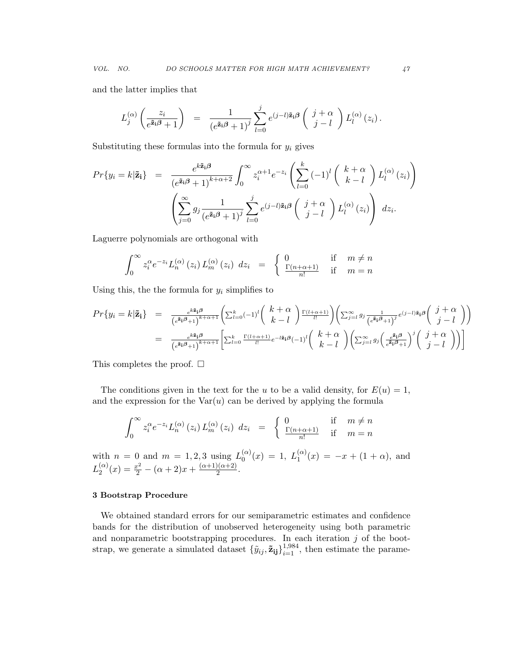and the latter implies that

$$
L_j^{(\alpha)}\left(\frac{z_i}{e^{\tilde{\mathbf{z}}_i\boldsymbol{\beta}}+1}\right) = \frac{1}{(e^{\tilde{\mathbf{z}}_i\boldsymbol{\beta}}+1)^j} \sum_{l=0}^j e^{(j-l)\tilde{\mathbf{z}}_i\boldsymbol{\beta}}\left(\begin{array}{c}j+\alpha\\j-l\end{array}\right) L_l^{(\alpha)}(z_i).
$$

Substituting these formulas into the formula for  $y_i$  gives

$$
Pr\{y_i = k|\tilde{\mathbf{z}}_i\} = \frac{e^{k\tilde{\mathbf{z}}_i\boldsymbol{\beta}}}{(e^{\tilde{\mathbf{z}}_i\boldsymbol{\beta}}+1)^{k+\alpha+2}} \int_0^\infty z_i^{\alpha+1} e^{-z_i} \left(\sum_{l=0}^k (-1)^l \binom{k+\alpha}{k-l} L_l^{(\alpha)}(z_i)\right)
$$

$$
\left(\sum_{j=0}^\infty g_j \frac{1}{(e^{\tilde{\mathbf{z}}_i\boldsymbol{\beta}}+1)^j} \sum_{l=0}^j e^{(j-l)\tilde{\mathbf{z}}_i\boldsymbol{\beta}} \binom{j+\alpha}{j-l} L_l^{(\alpha)}(z_i)\right) dz_i.
$$

Laguerre polynomials are orthogonal with

$$
\int_0^\infty z_i^{\alpha} e^{-z_i} L_n^{(\alpha)}(z_i) L_m^{(\alpha)}(z_i) dz_i = \begin{cases} 0 & \text{if } m \neq n \\ \frac{\Gamma(n+\alpha+1)}{n!} & \text{if } m = n \end{cases}
$$

Using this, the the formula for  $y_i$  simplifies to

$$
Pr\{y_i = k|\tilde{\mathbf{z}}_i\} = \frac{e^{k\tilde{\mathbf{z}}_i\beta}}{\left(e^{\tilde{\mathbf{z}}_i\beta}+1\right)^{k+\alpha+1}} \left(\sum_{l=0}^k (-1)^l \binom{k+\alpha}{k-l} \frac{\Gamma(l+\alpha+1)}{l!} \binom{\sum_{j=l}^{\infty} g_j \frac{1}{\left(e^{\tilde{\mathbf{z}}_i\beta}+1\right)^j}} e^{(j-l)\tilde{\mathbf{z}}_i\beta} \binom{j+\alpha}{j-l}}{\binom{k+\alpha}{k-l}} \right)
$$

$$
= \frac{e^{k\tilde{\mathbf{z}}_i\beta}}{\left(e^{\tilde{\mathbf{z}}_i\beta}+1\right)^{k+\alpha+1}} \left[\sum_{l=0}^k \frac{\Gamma(l+\alpha+1)}{l!} e^{-l\tilde{\mathbf{z}}_i\beta} (-1)^l \binom{k+\alpha}{k-l} \binom{\sum_{j=l}^{\infty} g_j \binom{\frac{i}{\tilde{\mathbf{z}}_j\beta} -1}{\left(e^{\tilde{\mathbf{z}}_i\beta}+1\right)}^j \binom{j+\alpha}{j-l}}\right]
$$

This completes the proof.  $\Box$ 

The conditions given in the text for the *u* to be a valid density, for  $E(u) = 1$ , and the expression for the  $Var(u)$  can be derived by applying the formula

$$
\int_0^\infty z_i^{\alpha} e^{-z_i} L_n^{(\alpha)}(z_i) L_m^{(\alpha)}(z_i) dz_i = \begin{cases} 0 & \text{if } m \neq n \\ \frac{\Gamma(n+\alpha+1)}{n!} & \text{if } m = n \end{cases}
$$

with  $n = 0$  and  $m = 1, 2, 3$  using  $L_0^{(\alpha)}(x) = 1$ ,  $L_1^{(\alpha)}(x) = -x + (1 + \alpha)$ , and  $L_2^{(\alpha)}(x) = \frac{x^2}{2} - (\alpha + 2)x + \frac{(\alpha+1)(\alpha+2)}{2}.$ 

#### 3 Bootstrap Procedure

We obtained standard errors for our semiparametric estimates and confidence bands for the distribution of unobserved heterogeneity using both parametric and nonparametric bootstrapping procedures. In each iteration *j* of the bootstrap, we generate a simulated dataset  ${\tilde{y}_{ij}, \tilde{z}_{ij}}_{i=1}^{1,984}$ , then estimate the parame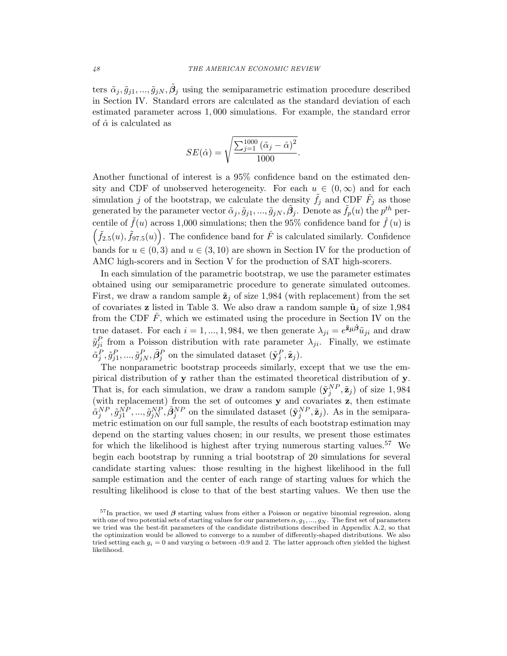ters  $\tilde{\alpha}_j$ ,  $\tilde{g}_{j1}, ..., \tilde{g}_{jN}$ ,  $\tilde{\beta}_j$  using the semiparametric estimation procedure described in Section IV. Standard errors are calculated as the standard deviation of each estimated parameter across 1*,* 000 simulations. For example, the standard error of  $\hat{\alpha}$  is calculated as

$$
SE(\hat{\alpha}) = \sqrt{\frac{\sum_{j=1}^{1000} (\tilde{\alpha}_j - \hat{\alpha})^2}{1000}}.
$$

Another functional of interest is a 95% confidence band on the estimated density and CDF of unobserved heterogeneity. For each  $u \in (0, \infty)$  and for each simulation *j* of the bootstrap, we calculate the density  $\tilde{f}_j$  and CDF  $\tilde{F}_j$  as those generated by the parameter vector  $\tilde{\alpha}_j$ ,  $\tilde{g}_{j1}$ , ...,  $\tilde{g}_{jN}$ ,  $\tilde{B}_j$ . Denote as  $\tilde{f}_p(u)$  the  $p^{th}$  percentile of  $\tilde{f}(u)$  across 1,000 simulations; then the 95% confidence band for  $\hat{f}(u)$  is  $(\tilde{f}_{2.5}(u), \tilde{f}_{97.5}(u))$ . The confidence band for  $\hat{F}$  is calculated similarly. Confidence bands for  $u \in (0, 3)$  and  $u \in (3, 10)$  are shown in Section IV for the production of AMC high-scorers and in Section V for the production of SAT high-scorers.

In each simulation of the parametric bootstrap, we use the parameter estimates obtained using our semiparametric procedure to generate simulated outcomes. First, we draw a random sample  $\tilde{\mathbf{z}}_j$  of size 1,984 (with replacement) from the set of covariates **z** listed in Table 3. We also draw a random sample  $\tilde{\mathbf{u}}_i$  of size 1,984 from the CDF  $\hat{F}$ , which we estimated using the procedure in Section IV on the true dataset. For each  $i = 1, ..., 1,984$ , we then generate  $\lambda_{ji} = e^{\tilde{\mathbf{z}}_{ji}\hat{\mathbf{\beta}}}\tilde{u}_{ji}$  and draw  $\tilde{y}_{ji}^P$  from a Poisson distribution with rate parameter  $\lambda_{ji}$ . Finally, we estimate  $\tilde{\alpha}_j^P, \tilde{g}_{j1}^P, ..., \tilde{g}_{jN}^P, \tilde{\beta}_j^P$  on the simulated dataset  $(\tilde{\mathbf{y}}_j^P, \tilde{\mathbf{z}}_j)$ .

The nonparametric bootstrap proceeds similarly, except that we use the empirical distribution of y rather than the estimated theoretical distribution of y. That is, for each simulation, we draw a random sample  $(\tilde{\mathbf{y}}_j^{NP}, \tilde{\mathbf{z}}_j)$  of size 1,984 (with replacement) from the set of outcomes y and covariates z, then estimate  $\tilde{\alpha}_j^{NP}, \tilde{g}_{j1}^{NP}, ..., \tilde{g}_{jN}^{NP}, \tilde{\beta}_j^{NP}$  on the simulated dataset  $(\tilde{\mathbf{y}}_j^{NP}, \tilde{\mathbf{z}}_j)$ . As in the semiparametric estimation on our full sample, the results of each bootstrap estimation may depend on the starting values chosen; in our results, we present those estimates for which the likelihood is highest after trying numerous starting values.<sup>57</sup> We begin each bootstrap by running a trial bootstrap of 20 simulations for several candidate starting values: those resulting in the highest likelihood in the full sample estimation and the center of each range of starting values for which the resulting likelihood is close to that of the best starting values. We then use the

 $57$ In practice, we used  $\beta$  starting values from either a Poisson or negative binomial regression, along with one of two potential sets of starting values for our parameters  $\alpha, g_1, ..., g_N$ . The first set of parameters we tried was the best-fit parameters of the candidate distributions described in Appendix A.2, so that the optimization would be allowed to converge to a number of differently-shaped distributions. We also tried setting each  $g_i = 0$  and varying  $\alpha$  between -0.9 and 2. The latter approach often yielded the highest likelihood.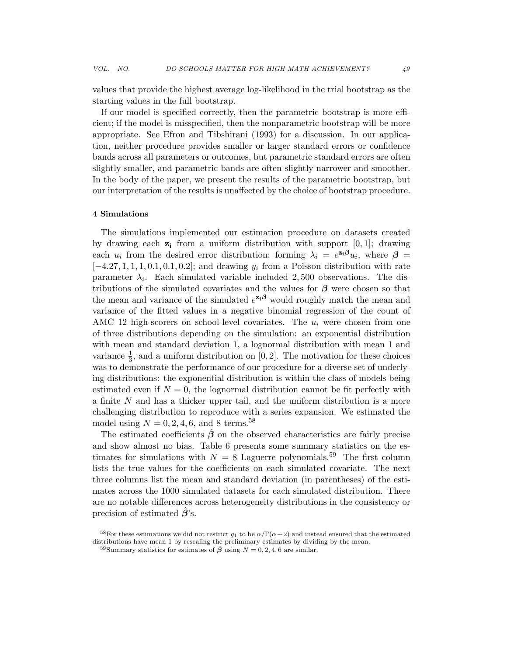values that provide the highest average log-likelihood in the trial bootstrap as the starting values in the full bootstrap.

If our model is specified correctly, then the parametric bootstrap is more efficient; if the model is misspecified, then the nonparametric bootstrap will be more appropriate. See Efron and Tibshirani (1993) for a discussion. In our application, neither procedure provides smaller or larger standard errors or confidence bands across all parameters or outcomes, but parametric standard errors are often slightly smaller, and parametric bands are often slightly narrower and smoother. In the body of the paper, we present the results of the parametric bootstrap, but our interpretation of the results is unaffected by the choice of bootstrap procedure.

#### 4 Simulations

The simulations implemented our estimation procedure on datasets created by drawing each  $z_i$  from a uniform distribution with support  $[0, 1]$ ; drawing each  $u_i$  from the desired error distribution; forming  $\lambda_i = e^{\mathbf{z_i}\beta}u_i$ , where  $\beta =$  $[-4.27, 1, 1, 1, 0.1, 0.1, 0.2]$ ; and drawing  $y_i$  from a Poisson distribution with rate parameter  $\lambda_i$ . Each simulated variable included 2,500 observations. The distributions of the simulated covariates and the values for  $\beta$  were chosen so that the mean and variance of the simulated  $e^{z_i\beta}$  would roughly match the mean and variance of the fitted values in a negative binomial regression of the count of AMC 12 high-scorers on school-level covariates. The *u<sup>i</sup>* were chosen from one of three distributions depending on the simulation: an exponential distribution with mean and standard deviation 1, a lognormal distribution with mean 1 and variance  $\frac{1}{3}$ , and a uniform distribution on [0, 2]. The motivation for these choices was to demonstrate the performance of our procedure for a diverse set of underlying distributions: the exponential distribution is within the class of models being estimated even if  $N = 0$ , the lognormal distribution cannot be fit perfectly with a finite *N* and has a thicker upper tail, and the uniform distribution is a more challenging distribution to reproduce with a series expansion. We estimated the model using  $N = 0, 2, 4, 6,$  and 8 terms.<sup>58</sup>

The estimated coefficients  $\hat{\beta}$  on the observed characteristics are fairly precise and show almost no bias. Table 6 presents some summary statistics on the estimates for simulations with  $N = 8$  Laguerre polynomials.<sup>59</sup> The first column lists the true values for the coefficients on each simulated covariate. The next three columns list the mean and standard deviation (in parentheses) of the estimates across the 1000 simulated datasets for each simulated distribution. There are no notable differences across heterogeneity distributions in the consistency or precision of estimated  $\beta$ 's.

<sup>&</sup>lt;sup>58</sup>For these estimations we did not restrict  $g_1$  to be  $\alpha/\Gamma(\alpha+2)$  and instead ensured that the estimated distributions have mean 1 by rescaling the preliminary estimates by dividing by the mean.

<sup>&</sup>lt;sup>59</sup>Summary statistics for estimates of  $\hat{\beta}$  using  $N = 0, 2, 4, 6$  are similar.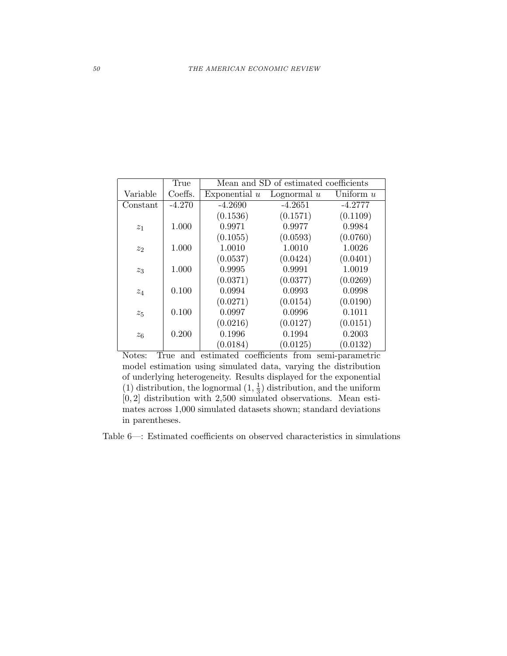|          | True     | Mean and SD of estimated coefficients |               |             |  |  |
|----------|----------|---------------------------------------|---------------|-------------|--|--|
| Variable | Coeffs.  | Exponential $u$                       | Lognormal $u$ | Uniform $u$ |  |  |
| Constant | $-4.270$ | $-4.2690$                             | $-4.2651$     | $-4.2777$   |  |  |
|          |          | (0.1536)                              | (0.1571)      | (0.1109)    |  |  |
| $z_1$    | 1.000    | 0.9971                                | 0.9977        | 0.9984      |  |  |
|          |          | (0.1055)                              | (0.0593)      | (0.0760)    |  |  |
| $z_{2}$  | 1.000    | 1.0010                                | 1.0010        | 1.0026      |  |  |
|          |          | (0.0537)                              | (0.0424)      | (0.0401)    |  |  |
| $z_3$    | 1.000    | 0.9995                                | 0.9991        | 1.0019      |  |  |
|          |          | (0.0371)                              | (0.0377)      | (0.0269)    |  |  |
| $z_4$    | 0.100    | 0.0994                                | 0.0993        | 0.0998      |  |  |
|          |          | (0.0271)                              | (0.0154)      | (0.0190)    |  |  |
| $z_{5}$  | 0.100    | 0.0997                                | 0.0996        | 0.1011      |  |  |
|          |          | (0.0216)                              | (0.0127)      | (0.0151)    |  |  |
| $z_6$    | 0.200    | 0.1996                                | 0.1994        | 0.2003      |  |  |
|          |          | (0.0184)                              | (0.0125)      | (0.0132)    |  |  |

Notes: True and estimated coefficients from semi-parametric model estimation using simulated data, varying the distribution of underlying heterogeneity. Results displayed for the exponential (1) distribution, the lognormal  $(1, \frac{1}{3})$  distribution, and the uniform [0*,* 2] distribution with 2,500 simulated observations. Mean estimates across 1,000 simulated datasets shown; standard deviations in parentheses.

Table 6—: Estimated coefficients on observed characteristics in simulations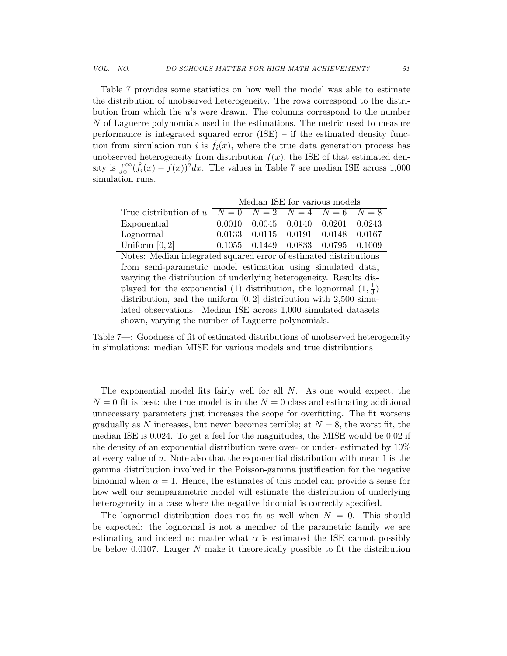Table 7 provides some statistics on how well the model was able to estimate the distribution of unobserved heterogeneity. The rows correspond to the distribution from which the *u*'s were drawn. The columns correspond to the number *N* of Laguerre polynomials used in the estimations. The metric used to measure performance is integrated squared error (ISE) – if the estimated density function from simulation run *i* is  $\hat{f}_i(x)$ , where the true data generation process has unobserved heterogeneity from distribution  $f(x)$ , the ISE of that estimated density is  $\int_0^\infty (\hat{f}_i(x) - f(x))^2 dx$ . The values in Table 7 are median ISE across 1,000 simulation runs.

|                                                                     | Median ISE for various models |                                              |  |  |  |  |
|---------------------------------------------------------------------|-------------------------------|----------------------------------------------|--|--|--|--|
| True distribution of $u \mid N = 0$ $N = 2$ $N = 4$ $N = 6$ $N = 8$ |                               |                                              |  |  |  |  |
| Exponential                                                         |                               | $0.0010$ $0.0045$ $0.0140$ $0.0201$ $0.0243$ |  |  |  |  |
| Lognormal                                                           |                               | $0.0133$ $0.0115$ $0.0191$ $0.0148$ $0.0167$ |  |  |  |  |
| Uniform $[0,2]$                                                     |                               | $0.1055$ $0.1449$ $0.0833$ $0.0795$ $0.1009$ |  |  |  |  |

Notes: Median integrated squared error of estimated distributions from semi-parametric model estimation using simulated data, varying the distribution of underlying heterogeneity. Results displayed for the exponential (1) distribution, the lognormal  $(1, \frac{1}{3})$ distribution, and the uniform [0*,* 2] distribution with 2,500 simulated observations. Median ISE across 1,000 simulated datasets shown, varying the number of Laguerre polynomials.

Table 7—: Goodness of fit of estimated distributions of unobserved heterogeneity in simulations: median MISE for various models and true distributions

The exponential model fits fairly well for all *N*. As one would expect, the  $N = 0$  fit is best: the true model is in the  $N = 0$  class and estimating additional unnecessary parameters just increases the scope for overfitting. The fit worsens gradually as N increases, but never becomes terrible; at  $N = 8$ , the worst fit, the median ISE is 0*.*024. To get a feel for the magnitudes, the MISE would be 0.02 if the density of an exponential distribution were over- or under- estimated by 10% at every value of *u*. Note also that the exponential distribution with mean 1 is the gamma distribution involved in the Poisson-gamma justification for the negative binomial when  $\alpha = 1$ . Hence, the estimates of this model can provide a sense for how well our semiparametric model will estimate the distribution of underlying heterogeneity in a case where the negative binomial is correctly specified.

The lognormal distribution does not fit as well when  $N = 0$ . This should be expected: the lognormal is not a member of the parametric family we are estimating and indeed no matter what  $\alpha$  is estimated the ISE cannot possibly be below 0.0107. Larger *N* make it theoretically possible to fit the distribution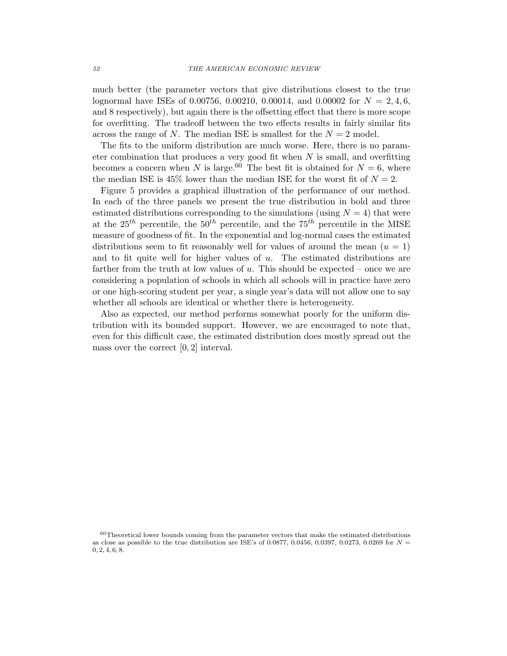much better (the parameter vectors that give distributions closest to the true lognormal have ISEs of 0.00756, 0.00210, 0.00014, and 0.00002 for *N* = 2*,* 4*,* 6*,* and 8 respectively), but again there is the offsetting effect that there is more scope for overfitting. The tradeoff between the two effects results in fairly similar fits across the range of N. The median ISE is smallest for the  $N=2$  model.

The fits to the uniform distribution are much worse. Here, there is no parameter combination that produces a very good fit when *N* is small, and overfitting becomes a concern when *N* is large.<sup>60</sup> The best fit is obtained for  $N = 6$ , where the median ISE is  $45\%$  lower than the median ISE for the worst fit of  $N=2$ .

Figure 5 provides a graphical illustration of the performance of our method. In each of the three panels we present the true distribution in bold and three estimated distributions corresponding to the simulations (using  $N = 4$ ) that were at the  $25^{th}$  percentile, the  $50^{th}$  percentile, and the  $75^{th}$  percentile in the MISE measure of goodness of fit. In the exponential and log-normal cases the estimated distributions seem to fit reasonably well for values of around the mean  $(u = 1)$ and to fit quite well for higher values of *u*. The estimated distributions are farther from the truth at low values of *u*. This should be expected – once we are considering a population of schools in which all schools will in practice have zero or one high-scoring student per year, a single year's data will not allow one to say whether all schools are identical or whether there is heterogeneity.

Also as expected, our method performs somewhat poorly for the uniform distribution with its bounded support. However, we are encouraged to note that, even for this difficult case, the estimated distribution does mostly spread out the mass over the correct [0*,* 2] interval.

 $60$ Theoretical lower bounds coming from the parameter vectors that make the estimated distributions as close as possible to the true distribution are ISE's of 0.0877, 0.0456, 0.0397, 0.0273, 0.0269 for  $N =$ 0*,* 2*,* 4*,* 6*,* 8.